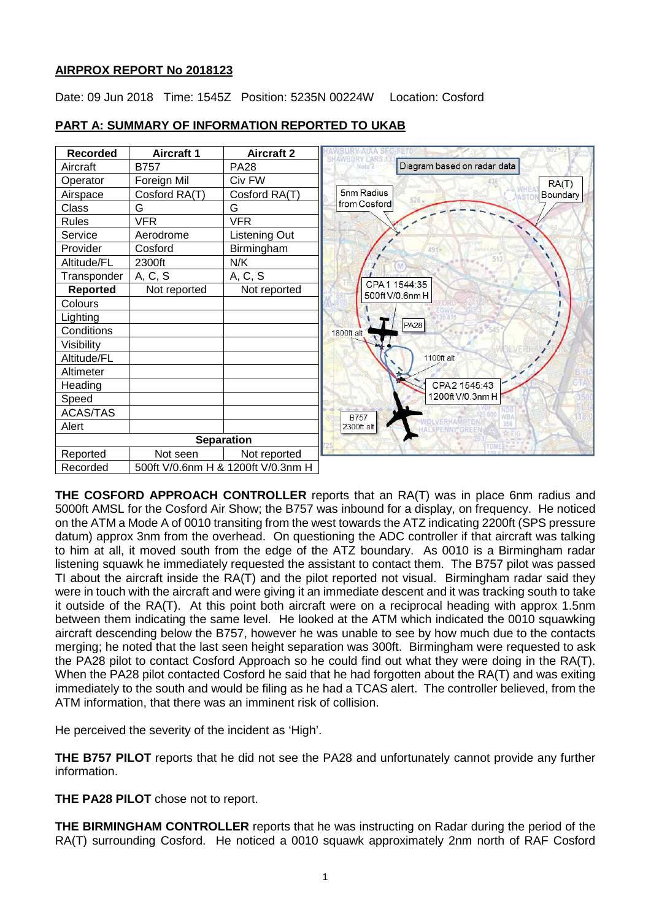# **AIRPROX REPORT No 2018123**

Date: 09 Jun 2018 Time: 1545Z Position: 5235N 00224W Location: Cosford



#### **PART A: SUMMARY OF INFORMATION REPORTED TO UKAB**

**THE COSFORD APPROACH CONTROLLER** reports that an RA(T) was in place 6nm radius and 5000ft AMSL for the Cosford Air Show; the B757 was inbound for a display, on frequency. He noticed on the ATM a Mode A of 0010 transiting from the west towards the ATZ indicating 2200ft (SPS pressure datum) approx 3nm from the overhead. On questioning the ADC controller if that aircraft was talking to him at all, it moved south from the edge of the ATZ boundary. As 0010 is a Birmingham radar listening squawk he immediately requested the assistant to contact them. The B757 pilot was passed TI about the aircraft inside the RA(T) and the pilot reported not visual. Birmingham radar said they were in touch with the aircraft and were giving it an immediate descent and it was tracking south to take it outside of the RA(T). At this point both aircraft were on a reciprocal heading with approx 1.5nm between them indicating the same level. He looked at the ATM which indicated the 0010 squawking aircraft descending below the B757, however he was unable to see by how much due to the contacts merging; he noted that the last seen height separation was 300ft. Birmingham were requested to ask the PA28 pilot to contact Cosford Approach so he could find out what they were doing in the RA(T). When the PA28 pilot contacted Cosford he said that he had forgotten about the RA(T) and was exiting immediately to the south and would be filing as he had a TCAS alert. The controller believed, from the ATM information, that there was an imminent risk of collision.

He perceived the severity of the incident as 'High'.

**THE B757 PILOT** reports that he did not see the PA28 and unfortunately cannot provide any further information.

**THE PA28 PILOT** chose not to report.

**THE BIRMINGHAM CONTROLLER** reports that he was instructing on Radar during the period of the RA(T) surrounding Cosford. He noticed a 0010 squawk approximately 2nm north of RAF Cosford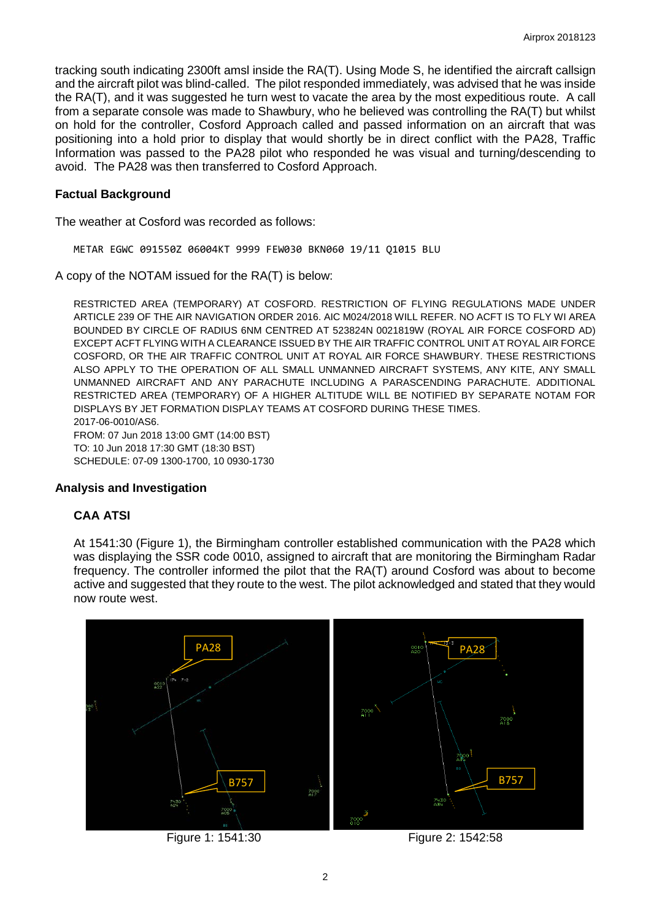tracking south indicating 2300ft amsl inside the RA(T). Using Mode S, he identified the aircraft callsign and the aircraft pilot was blind-called. The pilot responded immediately, was advised that he was inside the RA(T), and it was suggested he turn west to vacate the area by the most expeditious route. A call from a separate console was made to Shawbury, who he believed was controlling the RA(T) but whilst on hold for the controller, Cosford Approach called and passed information on an aircraft that was positioning into a hold prior to display that would shortly be in direct conflict with the PA28, Traffic Information was passed to the PA28 pilot who responded he was visual and turning/descending to avoid. The PA28 was then transferred to Cosford Approach.

#### **Factual Background**

The weather at Cosford was recorded as follows:

METAR EGWC 091550Z 06004KT 9999 FEW030 BKN060 19/11 Q1015 BLU

A copy of the NOTAM issued for the RA(T) is below:

RESTRICTED AREA (TEMPORARY) AT COSFORD. RESTRICTION OF FLYING REGULATIONS MADE UNDER ARTICLE 239 OF THE AIR NAVIGATION ORDER 2016. AIC M024/2018 WILL REFER. NO ACFT IS TO FLY WI AREA BOUNDED BY CIRCLE OF RADIUS 6NM CENTRED AT 523824N 0021819W (ROYAL AIR FORCE COSFORD AD) EXCEPT ACFT FLYING WITH A CLEARANCE ISSUED BY THE AIR TRAFFIC CONTROL UNIT AT ROYAL AIR FORCE COSFORD, OR THE AIR TRAFFIC CONTROL UNIT AT ROYAL AIR FORCE SHAWBURY. THESE RESTRICTIONS ALSO APPLY TO THE OPERATION OF ALL SMALL UNMANNED AIRCRAFT SYSTEMS, ANY KITE, ANY SMALL UNMANNED AIRCRAFT AND ANY PARACHUTE INCLUDING A PARASCENDING PARACHUTE. ADDITIONAL RESTRICTED AREA (TEMPORARY) OF A HIGHER ALTITUDE WILL BE NOTIFIED BY SEPARATE NOTAM FOR DISPLAYS BY JET FORMATION DISPLAY TEAMS AT COSFORD DURING THESE TIMES. 2017-06-0010/AS6. FROM: 07 Jun 2018 13:00 GMT (14:00 BST)

TO: 10 Jun 2018 17:30 GMT (18:30 BST) SCHEDULE: 07-09 1300-1700, 10 0930-1730

#### **Analysis and Investigation**

# **CAA ATSI**

At 1541:30 (Figure 1), the Birmingham controller established communication with the PA28 which was displaying the SSR code 0010, assigned to aircraft that are monitoring the Birmingham Radar frequency. The controller informed the pilot that the RA(T) around Cosford was about to become active and suggested that they route to the west. The pilot acknowledged and stated that they would now route west.



Figure 1: 1541:30 Figure 2: 1542:58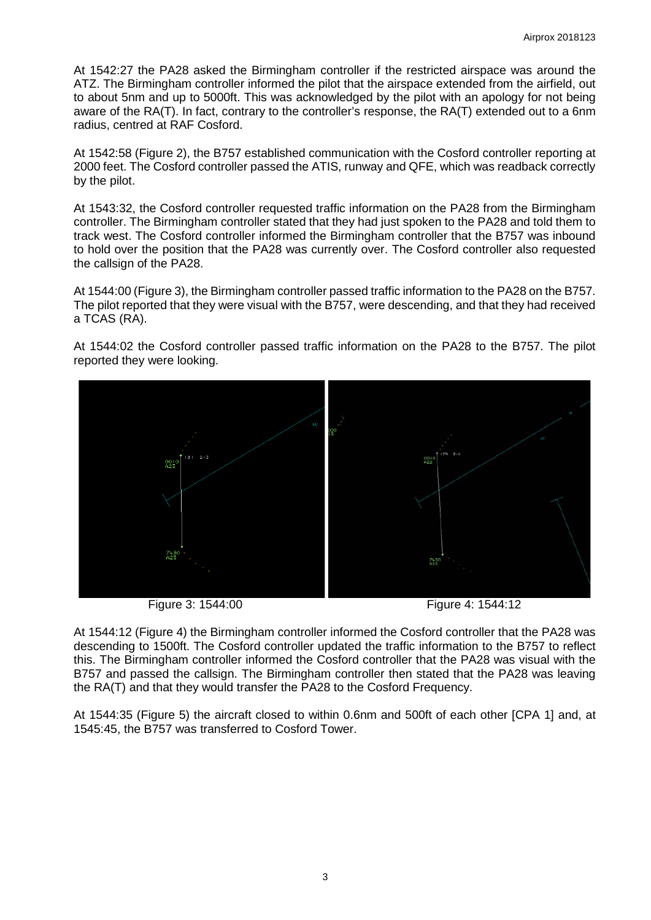At 1542:27 the PA28 asked the Birmingham controller if the restricted airspace was around the ATZ. The Birmingham controller informed the pilot that the airspace extended from the airfield, out to about 5nm and up to 5000ft. This was acknowledged by the pilot with an apology for not being aware of the RA(T). In fact, contrary to the controller's response, the RA(T) extended out to a 6nm radius, centred at RAF Cosford.

At 1542:58 (Figure 2), the B757 established communication with the Cosford controller reporting at 2000 feet. The Cosford controller passed the ATIS, runway and QFE, which was readback correctly by the pilot.

At 1543:32, the Cosford controller requested traffic information on the PA28 from the Birmingham controller. The Birmingham controller stated that they had just spoken to the PA28 and told them to track west. The Cosford controller informed the Birmingham controller that the B757 was inbound to hold over the position that the PA28 was currently over. The Cosford controller also requested the callsign of the PA28.

At 1544:00 (Figure 3), the Birmingham controller passed traffic information to the PA28 on the B757. The pilot reported that they were visual with the B757, were descending, and that they had received a TCAS (RA).

At 1544:02 the Cosford controller passed traffic information on the PA28 to the B757. The pilot reported they were looking.



At 1544:12 (Figure 4) the Birmingham controller informed the Cosford controller that the PA28 was descending to 1500ft. The Cosford controller updated the traffic information to the B757 to reflect this. The Birmingham controller informed the Cosford controller that the PA28 was visual with the B757 and passed the callsign. The Birmingham controller then stated that the PA28 was leaving the RA(T) and that they would transfer the PA28 to the Cosford Frequency.

At 1544:35 (Figure 5) the aircraft closed to within 0.6nm and 500ft of each other [CPA 1] and, at 1545:45, the B757 was transferred to Cosford Tower.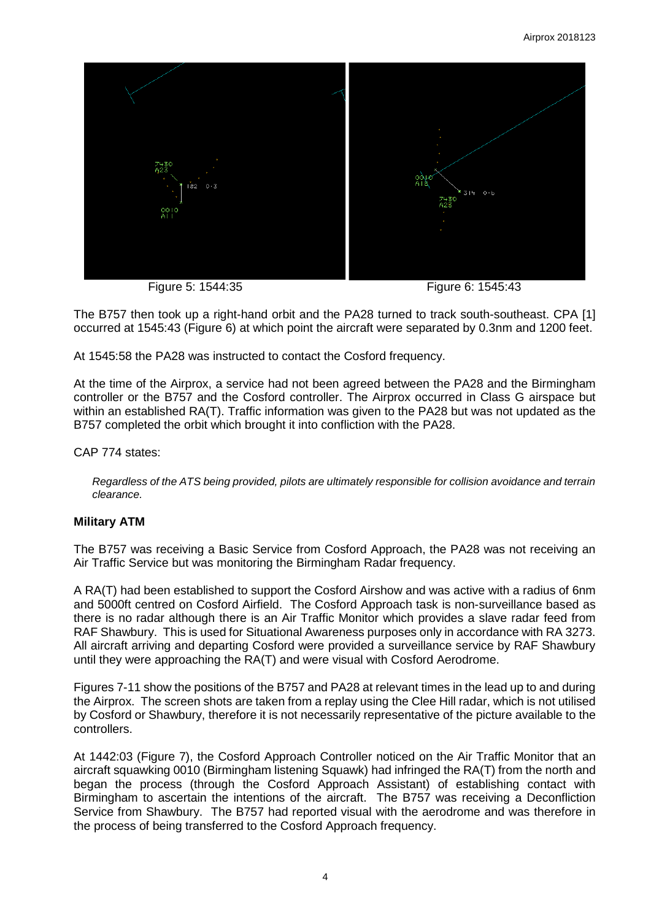

Figure 5: 1544:35 Figure 6: 1545:43

The B757 then took up a right-hand orbit and the PA28 turned to track south-southeast. CPA [1] occurred at 1545:43 (Figure 6) at which point the aircraft were separated by 0.3nm and 1200 feet.

At 1545:58 the PA28 was instructed to contact the Cosford frequency.

At the time of the Airprox, a service had not been agreed between the PA28 and the Birmingham controller or the B757 and the Cosford controller. The Airprox occurred in Class G airspace but within an established RA(T). Traffic information was given to the PA28 but was not updated as the B757 completed the orbit which brought it into confliction with the PA28.

CAP 774 states:

*Regardless of the ATS being provided, pilots are ultimately responsible for collision avoidance and terrain clearance.*

# **Military ATM**

The B757 was receiving a Basic Service from Cosford Approach, the PA28 was not receiving an Air Traffic Service but was monitoring the Birmingham Radar frequency.

A RA(T) had been established to support the Cosford Airshow and was active with a radius of 6nm and 5000ft centred on Cosford Airfield. The Cosford Approach task is non-surveillance based as there is no radar although there is an Air Traffic Monitor which provides a slave radar feed from RAF Shawbury. This is used for Situational Awareness purposes only in accordance with RA 3273. All aircraft arriving and departing Cosford were provided a surveillance service by RAF Shawbury until they were approaching the RA(T) and were visual with Cosford Aerodrome.

Figures 7-11 show the positions of the B757 and PA28 at relevant times in the lead up to and during the Airprox. The screen shots are taken from a replay using the Clee Hill radar, which is not utilised by Cosford or Shawbury, therefore it is not necessarily representative of the picture available to the controllers.

At 1442:03 (Figure 7), the Cosford Approach Controller noticed on the Air Traffic Monitor that an aircraft squawking 0010 (Birmingham listening Squawk) had infringed the RA(T) from the north and began the process (through the Cosford Approach Assistant) of establishing contact with Birmingham to ascertain the intentions of the aircraft. The B757 was receiving a Deconfliction Service from Shawbury. The B757 had reported visual with the aerodrome and was therefore in the process of being transferred to the Cosford Approach frequency.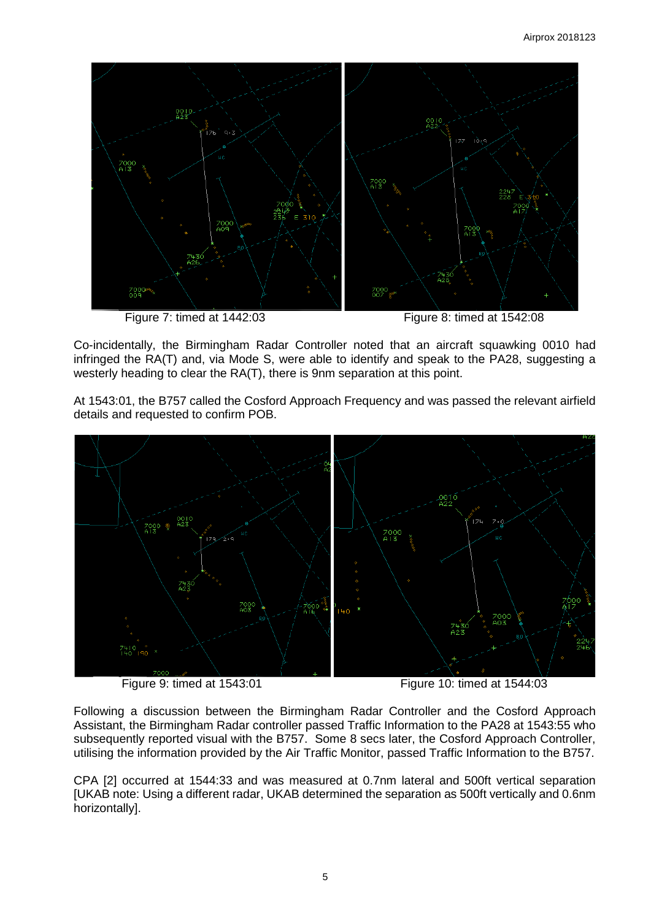

Figure 7: timed at 1442:03 Figure 8: timed at 1542:08

Co-incidentally, the Birmingham Radar Controller noted that an aircraft squawking 0010 had infringed the RA(T) and, via Mode S, were able to identify and speak to the PA28, suggesting a westerly heading to clear the RA(T), there is 9nm separation at this point.

At 1543:01, the B757 called the Cosford Approach Frequency and was passed the relevant airfield details and requested to confirm POB.



Figure 9: timed at 1543:01 Figure 10: timed at 1544:03

Following a discussion between the Birmingham Radar Controller and the Cosford Approach Assistant, the Birmingham Radar controller passed Traffic Information to the PA28 at 1543:55 who subsequently reported visual with the B757. Some 8 secs later, the Cosford Approach Controller, utilising the information provided by the Air Traffic Monitor, passed Traffic Information to the B757.

CPA [2] occurred at 1544:33 and was measured at 0.7nm lateral and 500ft vertical separation [UKAB note: Using a different radar, UKAB determined the separation as 500ft vertically and 0.6nm horizontally].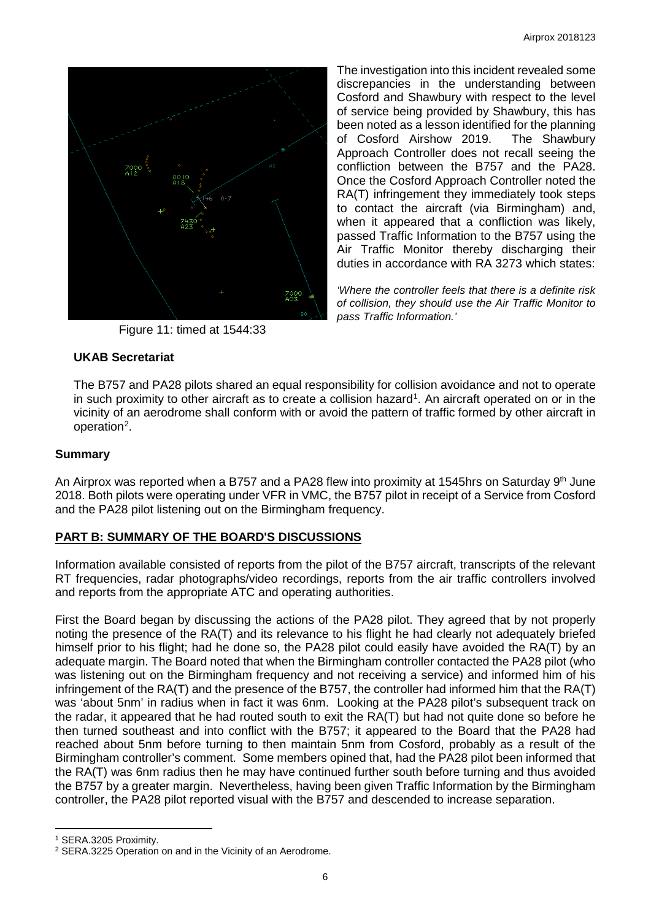

Figure 11: timed at 1544:33

# **UKAB Secretariat**

The investigation into this incident revealed some discrepancies in the understanding between Cosford and Shawbury with respect to the level of service being provided by Shawbury, this has been noted as a lesson identified for the planning of Cosford Airshow 2019. The Shawbury Approach Controller does not recall seeing the confliction between the B757 and the PA28. Once the Cosford Approach Controller noted the RA(T) infringement they immediately took steps to contact the aircraft (via Birmingham) and, when it appeared that a confliction was likely, passed Traffic Information to the B757 using the Air Traffic Monitor thereby discharging their duties in accordance with RA 3273 which states:

*'Where the controller feels that there is a definite risk of collision, they should use the Air Traffic Monitor to pass Traffic Information.'*

The B757 and PA28 pilots shared an equal responsibility for collision avoidance and not to operate in such proximity to other aircraft as to create a collision hazard<sup>[1](#page-5-0)</sup>. An aircraft operated on or in the vicinity of an aerodrome shall conform with or avoid the pattern of traffic formed by other aircraft in operation<sup>[2](#page-5-1)</sup>.

# **Summary**

An Airprox was reported when a B757 and a PA28 flew into proximity at 1545hrs on Saturday 9<sup>th</sup> June 2018. Both pilots were operating under VFR in VMC, the B757 pilot in receipt of a Service from Cosford and the PA28 pilot listening out on the Birmingham frequency.

# **PART B: SUMMARY OF THE BOARD'S DISCUSSIONS**

Information available consisted of reports from the pilot of the B757 aircraft, transcripts of the relevant RT frequencies, radar photographs/video recordings, reports from the air traffic controllers involved and reports from the appropriate ATC and operating authorities.

First the Board began by discussing the actions of the PA28 pilot. They agreed that by not properly noting the presence of the RA(T) and its relevance to his flight he had clearly not adequately briefed himself prior to his flight; had he done so, the PA28 pilot could easily have avoided the RA(T) by an adequate margin. The Board noted that when the Birmingham controller contacted the PA28 pilot (who was listening out on the Birmingham frequency and not receiving a service) and informed him of his infringement of the RA(T) and the presence of the B757, the controller had informed him that the RA(T) was 'about 5nm' in radius when in fact it was 6nm. Looking at the PA28 pilot's subsequent track on the radar, it appeared that he had routed south to exit the RA(T) but had not quite done so before he then turned southeast and into conflict with the B757; it appeared to the Board that the PA28 had reached about 5nm before turning to then maintain 5nm from Cosford, probably as a result of the Birmingham controller's comment. Some members opined that, had the PA28 pilot been informed that the RA(T) was 6nm radius then he may have continued further south before turning and thus avoided the B757 by a greater margin. Nevertheless, having been given Traffic Information by the Birmingham controller, the PA28 pilot reported visual with the B757 and descended to increase separation.

l

<span id="page-5-0"></span><sup>1</sup> SERA.3205 Proximity.

<span id="page-5-1"></span><sup>2</sup> SERA.3225 Operation on and in the Vicinity of an Aerodrome.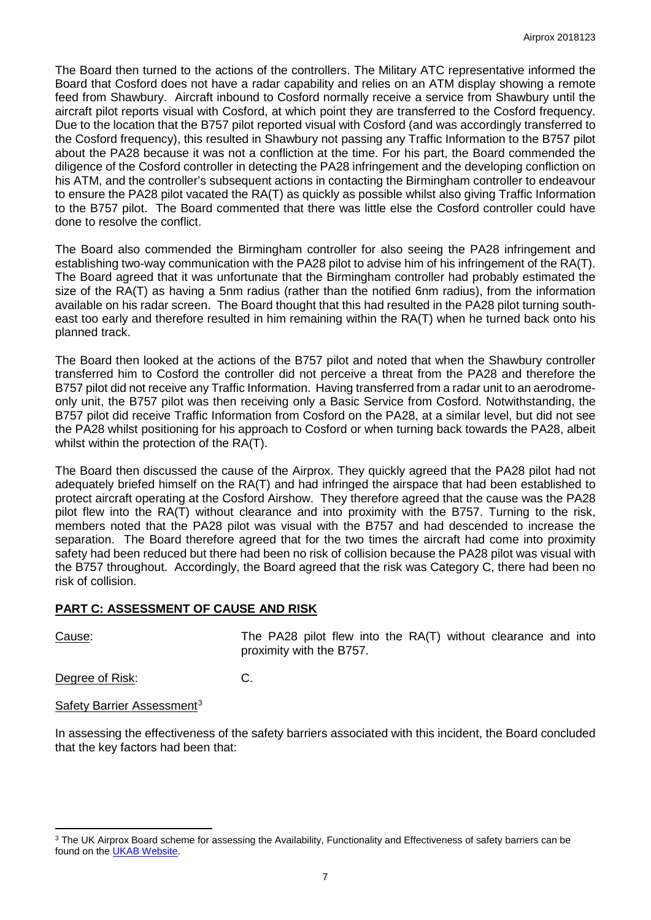The Board then turned to the actions of the controllers. The Military ATC representative informed the Board that Cosford does not have a radar capability and relies on an ATM display showing a remote feed from Shawbury. Aircraft inbound to Cosford normally receive a service from Shawbury until the aircraft pilot reports visual with Cosford, at which point they are transferred to the Cosford frequency. Due to the location that the B757 pilot reported visual with Cosford (and was accordingly transferred to the Cosford frequency), this resulted in Shawbury not passing any Traffic Information to the B757 pilot about the PA28 because it was not a confliction at the time. For his part, the Board commended the diligence of the Cosford controller in detecting the PA28 infringement and the developing confliction on his ATM, and the controller's subsequent actions in contacting the Birmingham controller to endeavour to ensure the PA28 pilot vacated the RA(T) as quickly as possible whilst also giving Traffic Information to the B757 pilot. The Board commented that there was little else the Cosford controller could have done to resolve the conflict.

The Board also commended the Birmingham controller for also seeing the PA28 infringement and establishing two-way communication with the PA28 pilot to advise him of his infringement of the RA(T). The Board agreed that it was unfortunate that the Birmingham controller had probably estimated the size of the RA(T) as having a 5nm radius (rather than the notified 6nm radius), from the information available on his radar screen. The Board thought that this had resulted in the PA28 pilot turning southeast too early and therefore resulted in him remaining within the RA(T) when he turned back onto his planned track.

The Board then looked at the actions of the B757 pilot and noted that when the Shawbury controller transferred him to Cosford the controller did not perceive a threat from the PA28 and therefore the B757 pilot did not receive any Traffic Information. Having transferred from a radar unit to an aerodromeonly unit, the B757 pilot was then receiving only a Basic Service from Cosford. Notwithstanding, the B757 pilot did receive Traffic Information from Cosford on the PA28, at a similar level, but did not see the PA28 whilst positioning for his approach to Cosford or when turning back towards the PA28, albeit whilst within the protection of the RA(T).

The Board then discussed the cause of the Airprox. They quickly agreed that the PA28 pilot had not adequately briefed himself on the RA(T) and had infringed the airspace that had been established to protect aircraft operating at the Cosford Airshow. They therefore agreed that the cause was the PA28 pilot flew into the RA(T) without clearance and into proximity with the B757. Turning to the risk, members noted that the PA28 pilot was visual with the B757 and had descended to increase the separation. The Board therefore agreed that for the two times the aircraft had come into proximity safety had been reduced but there had been no risk of collision because the PA28 pilot was visual with the B757 throughout. Accordingly, the Board agreed that the risk was Category C, there had been no risk of collision.

# **PART C: ASSESSMENT OF CAUSE AND RISK**

l

Cause: Cause: The PA28 pilot flew into the RA(T) without clearance and into proximity with the B757.

Degree of Risk: C.

Safety Barrier Assessment<sup>[3](#page-6-0)</sup>

In assessing the effectiveness of the safety barriers associated with this incident, the Board concluded that the key factors had been that:

<span id="page-6-0"></span><sup>&</sup>lt;sup>3</sup> The UK Airprox Board scheme for assessing the Availability, Functionality and Effectiveness of safety barriers can be found on the [UKAB Website.](http://www.airproxboard.org.uk/Learn-more/Airprox-Barrier-Assessment/)